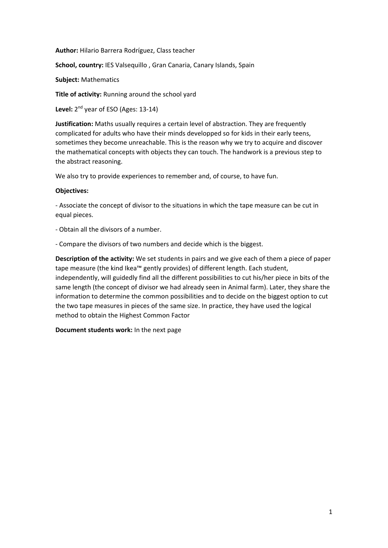**Author:** Hilario Barrera Rodríguez, Class teacher

**School, country:** IES Valsequillo , Gran Canaria, Canary Islands, Spain

**Subject:** Mathematics

**Title of activity:** Running around the school yard

Level: 2<sup>nd</sup> year of ESO (Ages: 13-14)

**Justification:** Maths usually requires a certain level of abstraction. They are frequently complicated for adults who have their minds developped so for kids in their early teens, sometimes they become unreachable. This is the reason why we try to acquire and discover the mathematical concepts with objects they can touch. The handwork is a previous step to the abstract reasoning.

We also try to provide experiences to remember and, of course, to have fun.

## **Objectives:**

‐ Associate the concept of divisor to the situations in which the tape measure can be cut in equal pieces.

‐ Obtain all the divisors of a number.

‐ Compare the divisors of two numbers and decide which is the biggest.

**Description of the activity:** We set students in pairs and we give each of them a piece of paper tape measure (the kind Ikea™ gently provides) of different length. Each student, independently, will guidedly find all the different possibilities to cut his/her piece in bits of the same length (the concept of divisor we had already seen in Animal farm). Later, they share the information to determine the common possibilities and to decide on the biggest option to cut the two tape measures in pieces of the same size. In practice, they have used the logical method to obtain the Highest Common Factor

**Document students work:** In the next page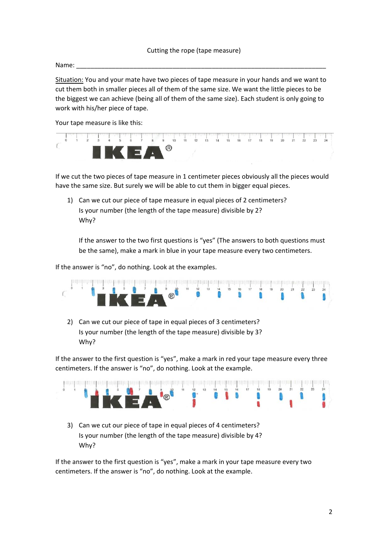Name: \_\_\_\_\_\_\_\_\_\_\_\_\_\_\_\_\_\_\_\_\_\_\_\_\_\_\_\_\_\_\_\_\_\_\_\_\_\_\_\_\_\_\_\_\_\_\_\_\_\_\_\_\_\_\_\_\_\_\_\_\_\_\_\_\_\_\_\_\_\_

Situation: You and your mate have two pieces of tape measure in your hands and we want to cut them both in smaller pieces all of them of the same size. We want the little pieces to be the biggest we can achieve (being all of them of the same size). Each student is only going to work with his/her piece of tape.

Your tape measure is like this:



If we cut the two pieces of tape measure in 1 centimeter pieces obviously all the pieces would have the same size. But surely we will be able to cut them in bigger equal pieces.

1) Can we cut our piece of tape measure in equal pieces of 2 centimeters? Is your number (the length of the tape measure) divisible by 2? Why?

If the answer to the two first questions is "yes" (The answers to both questions must be the same), make a mark in blue in your tape measure every two centimeters.

If the answer is "no", do nothing. Look at the examples.



2) Can we cut our piece of tape in equal pieces of 3 centimeters? Is your number (the length of the tape measure) divisible by 3? Why?

If the answer to the first question is "yes", make a mark in red your tape measure every three centimeters. If the answer is "no", do nothing. Look at the example.



3) Can we cut our piece of tape in equal pieces of 4 centimeters? Is your number (the length of the tape measure) divisible by 4? Why?

If the answer to the first question is "yes", make a mark in your tape measure every two centimeters. If the answer is "no", do nothing. Look at the example.